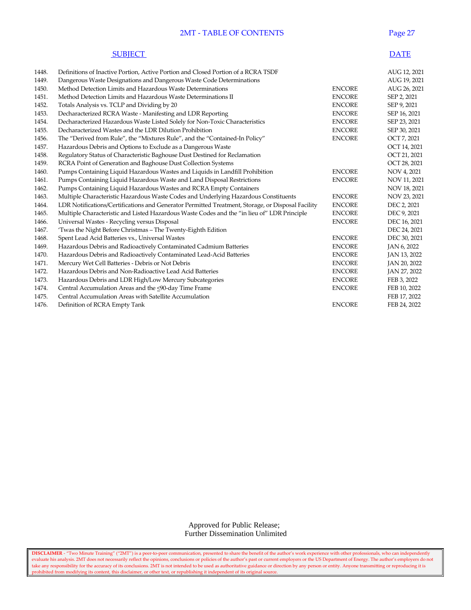## 2MT - TABLE OF CONTENTS Page 27

| <b>SUBIECT</b> | <b>DATE</b> |
|----------------|-------------|
|----------------|-------------|

| 1448. | Definitions of Inactive Portion, Active Portion and Closed Portion of a RCRA TSDF                 |               | AUG 12, 2021 |
|-------|---------------------------------------------------------------------------------------------------|---------------|--------------|
| 1449. | Dangerous Waste Designations and Dangerous Waste Code Determinations                              |               | AUG 19, 2021 |
| 1450. | Method Detection Limits and Hazardous Waste Determinations                                        | <b>ENCORE</b> | AUG 26, 2021 |
| 1451. | Method Detection Limits and Hazardous Waste Determinations II                                     | <b>ENCORE</b> | SEP 2, 2021  |
| 1452. | Totals Analysis vs. TCLP and Dividing by 20                                                       | <b>ENCORE</b> | SEP 9, 2021  |
| 1453. | Decharacterized RCRA Waste - Manifesting and LDR Reporting                                        | <b>ENCORE</b> | SEP 16, 2021 |
| 1454. | Decharacterized Hazardous Waste Listed Solely for Non-Toxic Characteristics                       | <b>ENCORE</b> | SEP 23, 2021 |
| 1455. | Decharacterized Wastes and the LDR Dilution Prohibition                                           | <b>ENCORE</b> | SEP 30, 2021 |
| 1456. | The "Derived from Rule", the "Mixtures Rule", and the "Contained-In Policy"                       | <b>ENCORE</b> | OCT 7, 2021  |
| 1457. | Hazardous Debris and Options to Exclude as a Dangerous Waste                                      |               | OCT 14, 2021 |
| 1458. | Regulatory Status of Characteristic Baghouse Dust Destined for Reclamation                        |               | OCT 21, 2021 |
| 1459. | RCRA Point of Generation and Baghouse Dust Collection Systems                                     |               | OCT 28, 2021 |
| 1460. | Pumps Containing Liquid Hazardous Wastes and Liquids in Landfill Prohibition                      | <b>ENCORE</b> | NOV 4, 2021  |
| 1461. | Pumps Containing Liquid Hazardous Waste and Land Disposal Restrictions                            | <b>ENCORE</b> | NOV 11, 2021 |
| 1462. | Pumps Containing Liquid Hazardous Wastes and RCRA Empty Containers                                |               | NOV 18, 2021 |
| 1463. | Multiple Characteristic Hazardous Waste Codes and Underlying Hazardous Constituents               | <b>ENCORE</b> | NOV 23, 2021 |
| 1464. | LDR Notifications/Certifications and Generator Permitted Treatment, Storage, or Disposal Facility | <b>ENCORE</b> | DEC 2, 2021  |
| 1465. | Multiple Characteristic and Listed Hazardous Waste Codes and the "in lieu of" LDR Principle       | <b>ENCORE</b> | DEC 9, 2021  |
| 1466. | Universal Wastes - Recycling versus Disposal                                                      | <b>ENCORE</b> | DEC 16, 2021 |
| 1467. | 'Twas the Night Before Christmas - The Twenty-Eighth Edition                                      |               | DEC 24, 2021 |
| 1468. | Spent Lead Acid Batteries vs., Universal Wastes                                                   | <b>ENCORE</b> | DEC 30, 2021 |
| 1469. | Hazardous Debris and Radioactively Contaminated Cadmium Batteries                                 | <b>ENCORE</b> | JAN 6, 2022  |
| 1470. | Hazardous Debris and Radioactively Contaminated Lead-Acid Batteries                               | <b>ENCORE</b> | JAN 13, 2022 |
| 1471. | Mercury Wet Cell Batteries - Debris or Not Debris                                                 | <b>ENCORE</b> | JAN 20, 2022 |
| 1472. | Hazardous Debris and Non-Radioactive Lead Acid Batteries                                          | <b>ENCORE</b> | JAN 27, 2022 |
| 1473. | Hazardous Debris and LDR High/Low Mercury Subcategories                                           | <b>ENCORE</b> | FEB 3, 2022  |
| 1474. | Central Accumulation Areas and the <90-day Time Frame                                             | <b>ENCORE</b> | FEB 10, 2022 |
| 1475. | Central Accumulation Areas with Satellite Accumulation                                            |               | FEB 17, 2022 |
| 1476. | Definition of RCRA Empty Tank                                                                     | <b>ENCORE</b> | FEB 24, 2022 |
|       |                                                                                                   |               |              |

 Approved for Public Release; Further Dissemination Unlimited

**DISCLAIMER** - "Two Minute Training" ("2MT") is a peer-to-peer communication, presented to share the benefit of the author's work experience with other professionals, who can independently evaluate his analysis. 2MT does not necessarily reflect the opinions, conclusions or policies of the author's past or current employers or the US Department of Energy. The author's employers do not take any responsibility for the accuracy of its conclusions. 2MT is not intended to be used as authoritative guidance or direction by any person or entity. Anyone transmitting or reproducing it is prohibited from modifying its content, this disclaimer, or other text, or republishing it independent of its original source.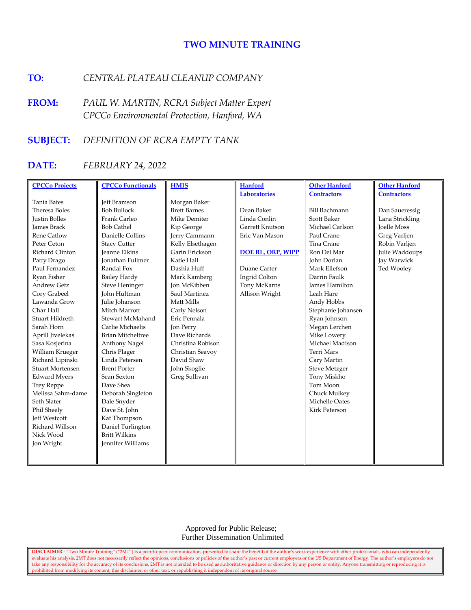# **TWO MINUTE TRAINING**

# **TO:** *CENTRAL PLATEAU CLEANUP COMPANY*

**FROM:** *PAUL W. MARTIN, RCRA Subject Matter Expert CPCCo Environmental Protection, Hanford, WA*

# **SUBJECT:** *DEFINITION OF RCRA EMPTY TANK*

# **DATE:** *FEBRUARY 24, 2022*

| <b>CPCCo Projects</b>   | <b>CPCCo Functionals</b> | <b>HMIS</b>         | <b>Hanford</b>           | <b>Other Hanford</b>  | <b>Other Hanford</b> |
|-------------------------|--------------------------|---------------------|--------------------------|-----------------------|----------------------|
|                         |                          |                     | <b>Laboratories</b>      | <b>Contractors</b>    | <b>Contractors</b>   |
| <b>Tania Bates</b>      | <b>Jeff Bramson</b>      | Morgan Baker        |                          |                       |                      |
| Theresa Boles           | <b>Bob Bullock</b>       | <b>Brett Barnes</b> | Dean Baker               | <b>Bill Bachmann</b>  | Dan Saueressig       |
| <b>Justin Bolles</b>    | Frank Carleo             | Mike Demiter        | Linda Conlin             | Scott Baker           | Lana Strickling      |
| <b>James Brack</b>      | <b>Bob Cathel</b>        | Kip George          | Garrett Knutson          | Michael Carlson       | <b>Joelle Moss</b>   |
| <b>Rene Catlow</b>      | Danielle Collins         | Jerry Cammann       | Eric Van Mason           | Paul Crane            | Greg Varljen         |
| Peter Ceton             | <b>Stacy Cutter</b>      | Kelly Elsethagen    |                          | Tina Crane            | Robin Varljen        |
| Richard Clinton         | <b>Jeanne Elkins</b>     | Garin Erickson      | <b>DOE RL, ORP, WIPP</b> | Ron Del Mar           | Julie Waddoups       |
| Patty Drago             | <b>Ionathan Fullmer</b>  | Katie Hall          |                          | John Dorian           | Jay Warwick          |
| Paul Fernandez          | Randal Fox               | Dashia Huff         | Duane Carter             | Mark Ellefson         | Ted Wooley           |
| Ryan Fisher             | <b>Bailey Hardy</b>      | Mark Kamberg        | Ingrid Colton            | Darrin Faulk          |                      |
| <b>Andrew Getz</b>      | <b>Steve Heninger</b>    | <b>Ion McKibben</b> | Tony McKarns             | <b>James Hamilton</b> |                      |
| Cory Grabeel            | <b>John Hultman</b>      | Saul Martinez       | Allison Wright           | Leah Hare             |                      |
| Lawanda Grow            | Julie Johanson           | Matt Mills          |                          | Andy Hobbs            |                      |
| Char Hall               | Mitch Marrott            | Carly Nelson        |                          | Stephanie Johansen    |                      |
| Stuart Hildreth         | Stewart McMahand         | Eric Pennala        |                          | Ryan Johnson          |                      |
| Sarah Horn              | Carlie Michaelis         | Jon Perry           |                          | Megan Lerchen         |                      |
| Aprill Jivelekas        | <b>Brian Mitcheltree</b> | Dave Richards       |                          | Mike Lowery           |                      |
| Sasa Kosjerina          | Anthony Nagel            | Christina Robison   |                          | Michael Madison       |                      |
| William Krueger         | Chris Plager             | Christian Seavoy    |                          | Terri Mars            |                      |
| Richard Lipinski        | Linda Petersen           | David Shaw          |                          | Cary Martin           |                      |
| <b>Stuart Mortensen</b> | <b>Brent Porter</b>      | John Skoglie        |                          | <b>Steve Metzger</b>  |                      |
| <b>Edward Myers</b>     | Sean Sexton              | Greg Sullivan       |                          | Tony Miskho           |                      |
| <b>Trey Reppe</b>       | Dave Shea                |                     |                          | Tom Moon              |                      |
| Melissa Sahm-dame       | Deborah Singleton        |                     |                          | Chuck Mulkey          |                      |
| Seth Slater             | Dale Snyder              |                     |                          | Michelle Oates        |                      |
| Phil Sheely             | Dave St. John            |                     |                          | <b>Kirk Peterson</b>  |                      |
| <b>Jeff Westcott</b>    | Kat Thompson             |                     |                          |                       |                      |
| Richard Willson         | Daniel Turlington        |                     |                          |                       |                      |
| Nick Wood               | <b>Britt Wilkins</b>     |                     |                          |                       |                      |
| Jon Wright              | <b>Jennifer Williams</b> |                     |                          |                       |                      |
|                         |                          |                     |                          |                       |                      |
|                         |                          |                     |                          |                       |                      |

 Approved for Public Release; Further Dissemination Unlimited

**DISCLAIMER** - "Two Minute Training" ("2MT") is a peer-to-peer communication, presented to share the benefit of the author's work experience with other professionals, who can independently evaluate his analysis. 2MT does not necessarily reflect the opinions, conclusions or policies of the author's past or current employers or the US Department of Energy. The author's employers do not take any responsibility for the accuracy of its conclusions. 2MT is not intended to be used as authoritative guidance or direction by any person or entity. Anyone transmitting or reproducing it is prohibited from modifying its content, this disclaimer, or other text, or republishing it independent of its original source.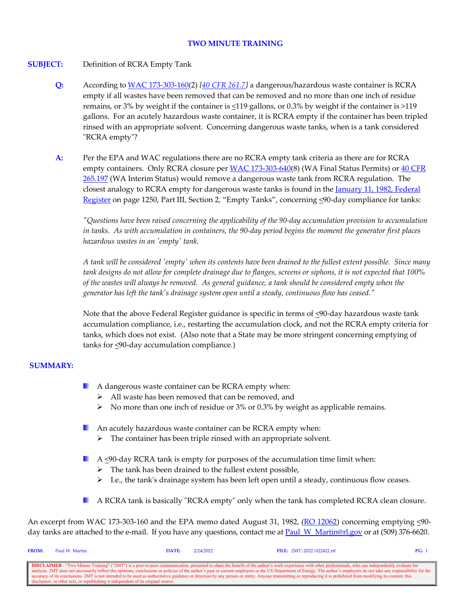## **TWO MINUTE TRAINING**

## **SUBJECT:** Definition of RCRA Empty Tank

- **Q:** According t[o WAC 173-303-160\(](https://apps.leg.wa.gov/wac/default.aspx?cite=173-303-160)2) *[\[40 CFR 261.7\]](https://www.govinfo.gov/content/pkg/CFR-2021-title40-vol28/xml/CFR-2021-title40-vol28-sec261-7.xml)* a dangerous/hazardous waste container is RCRA empty if all wastes have been removed that can be removed and no more than one inch of residue remains, or 3% by weight if the container is  $\leq 119$  gallons, or 0.3% by weight if the container is >119 gallons. For an acutely hazardous waste container, it is RCRA empty if the container has been tripled rinsed with an appropriate solvent. Concerning dangerous waste tanks, when is a tank considered "RCRA empty"?
- **A:** Per the EPA and WAC regulations there are no RCRA empty tank criteria as there are for RCRA empty containers. Only RCRA closure per [WAC 173-303-640\(](https://apps.leg.wa.gov/wac/default.aspx?cite=173-303-640)8) (WA Final Status Permits) or 40 CFR [265.197](https://www.govinfo.gov/content/pkg/CFR-2021-title40-vol28/xml/CFR-2021-title40-vol28-sec265-197.xml) (WA Interim Status) would remove a dangerous waste tank from RCRA regulation. The closest analogy to RCRA empty for dangerous waste tanks is found in the January 11, 1982, Federal [Register](https://www.govinfo.gov/content/pkg/FR-1982-01-11/pdf/FR-1982-01-11.pdf) on page 1250, Part III, Section 2, "Empty Tanks", concerning  $\leq 90$ -day compliance for tanks:

*"Questions have been raised concerning the applicability of the 90-day accumulation provision to accumulation in tanks. As with accumulation in containers, the 90-day period begins the moment the generator first places hazardous wastes in an 'empty' tank.*

*A tank will be considered 'empty' when its contents have been drained to the fullest extent possible. Since many tank designs do not allow for complete drainage due to flanges, screens or siphons, it is not expected that 100% of the wastes will always be removed. As general guidance, a tank should be considered empty when the generator has left the tank's drainage system open until a steady, continuous flow has ceased."*

Note that the above Federal Register guidance is specific in terms of <90-day hazardous waste tank accumulation compliance, i.e., restarting the accumulation clock, and not the RCRA empty criteria for tanks, which does not exist. (Also note that a State may be more stringent concerning emptying of tanks for <90-day accumulation compliance.)

# **SUMMARY:**

- **A** dangerous waste container can be RCRA empty when:
	- $\triangleright$  All waste has been removed that can be removed, and
	- $\triangleright$  No more than one inch of residue or 3% or 0.3% by weight as applicable remains.
- **An acutely hazardous waste container can be RCRA empty when:** 
	- $\triangleright$  The container has been triple rinsed with an appropriate solvent.
- $\blacksquare$  A  $\leq$ 90-day RCRA tank is empty for purposes of the accumulation time limit when:
	- $\triangleright$  The tank has been drained to the fullest extent possible,
	- $\triangleright$  I.e., the tank's drainage system has been left open until a steady, continuous flow ceases.
- A RCRA tank is basically "RCRA empty" only when the tank has completed RCRA clean closure.

An excerpt from WAC 173-303-160 and the EPA memo dated August 31, 1982, ( $\overline{RO}$  12062) concerning emptying  $\leq 90$ day tanks are attached to the e-mail. If you have any questions, contact me at Paul W\_Martin@rl.gov or at (509) 376-6620.

| <b>FROM:</b>                                                                                                                                                                                                             | Paul W. Martin | DATE: | 2/24/2022 | FILE: $2MT \ 2022 \ 022422.rtf$                                                                                                                                                                                | PG: |
|--------------------------------------------------------------------------------------------------------------------------------------------------------------------------------------------------------------------------|----------------|-------|-----------|----------------------------------------------------------------------------------------------------------------------------------------------------------------------------------------------------------------|-----|
|                                                                                                                                                                                                                          |                |       |           |                                                                                                                                                                                                                |     |
|                                                                                                                                                                                                                          |                |       |           | <b>DISCLAIMER</b> - "Two Minute Training" ("2MT") is a peer-to-peer communication, presented to share the benefit of the author's work experience with other professionals, who can independently evaluate his |     |
| analysis. 2MT does not necessarily reflect the opinions, conclusions or policies of the author's past or current employers or the US Department of Energy. The author's employers do not take any responsibility for the |                |       |           |                                                                                                                                                                                                                |     |
| accuracy of its conclusions. 2MT is not intended to be used as authoritative guidance or direction by any person or entity. Anyone transmitting or reproducing it is prohibited from modifying its content, this         |                |       |           |                                                                                                                                                                                                                |     |
| disclaimer, or other text, or republishing it independent of its original source.                                                                                                                                        |                |       |           |                                                                                                                                                                                                                |     |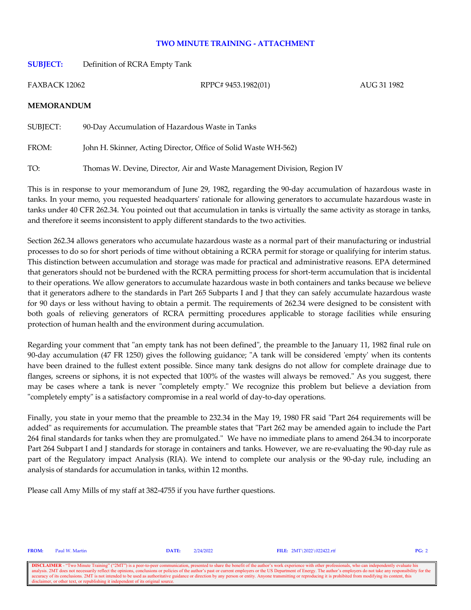## **TWO MINUTE TRAINING - ATTACHMENT**

**SUBJECT:** Definition of RCRA Empty Tank

FAXBACK 12062 RPPC# 9453.1982(01) AUG 31 1982

## **MEMORANDUM**

SUBJECT: 90-Day Accumulation of Hazardous Waste in Tanks FROM: John H. Skinner, Acting Director, Office of Solid Waste WH-562) TO: Thomas W. Devine, Director, Air and Waste Management Division, Region IV

This is in response to your memorandum of June 29, 1982, regarding the 90-day accumulation of hazardous waste in tanks. In your memo, you requested headquarters' rationale for allowing generators to accumulate hazardous waste in tanks under 40 CFR 262.34. You pointed out that accumulation in tanks is virtually the same activity as storage in tanks, and therefore it seems inconsistent to apply different standards to the two activities.

Section 262.34 allows generators who accumulate hazardous waste as a normal part of their manufacturing or industrial processes to do so for short periods of time without obtaining a RCRA permit for storage or qualifying for interim status. This distinction between accumulation and storage was made for practical and administrative reasons. EPA determined that generators should not be burdened with the RCRA permitting process for short-term accumulation that is incidental to their operations. We allow generators to accumulate hazardous waste in both containers and tanks because we believe that it generators adhere to the standards in Part 265 Subparts I and J that they can safely accumulate hazardous waste for 90 days or less without having to obtain a permit. The requirements of 262.34 were designed to be consistent with both goals of relieving generators of RCRA permitting procedures applicable to storage facilities while ensuring protection of human health and the environment during accumulation.

Regarding your comment that "an empty tank has not been defined", the preamble to the January 11, 1982 final rule on 90-day accumulation (47 FR 1250) gives the following guidance; "A tank will be considered 'empty' when its contents have been drained to the fullest extent possible. Since many tank designs do not allow for complete drainage due to flanges, screens or siphons, it is not expected that 100% of the wastes will always be removed." As you suggest, there may be cases where a tank is never "completely empty." We recognize this problem but believe a deviation from "completely empty" is a satisfactory compromise in a real world of day-to-day operations.

Finally, you state in your memo that the preamble to 232.34 in the May 19, 1980 FR said "Part 264 requirements will be added" as requirements for accumulation. The preamble states that "Part 262 may be amended again to include the Part 264 final standards for tanks when they are promulgated." We have no immediate plans to amend 264.34 to incorporate Part 264 Subpart I and J standards for storage in containers and tanks. However, we are re-evaluating the 90-day rule as part of the Regulatory impact Analysis (RIA). We intend to complete our analysis or the 90-day rule, including an analysis of standards for accumulation in tanks, within 12 months.

Please call Amy Mills of my staff at 382-4755 if you have further questions.

**FROM:** Paul W. Martin **DATE:** 2/24/2022 **FILE:** 2MT\2022\022422.rtf **PG:** 2

**DISCLAIMER** - "Two Minute Training" ("2MT") is a peer-to-peer communication, presented to share the benefit of the author's work experience with other professionals, who can independently evaluate his analysis. 2MT does n onclusions or policies of the author's past or current employers or the US Department of Energy. The author's employers do not take any resp accuracy of its conclusions. 2MT is not intended to be used as authoritative guidance or direction by any person or entity. Anyone transmitting or reproducing it is prohibited from modifying its content, this disclaimer, o